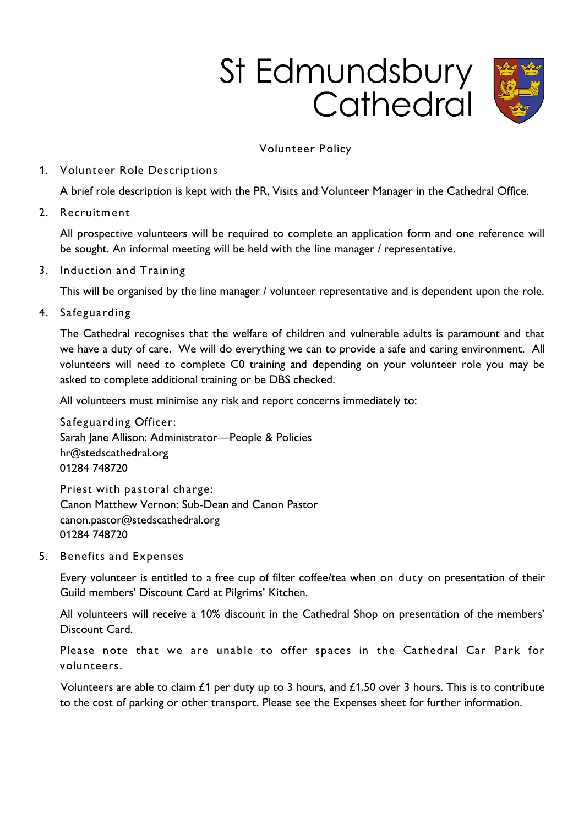# St Edmundsbury<br>Cathedral



# **Volunteer Policy**

## **1. Volunteer Role Descriptions**

**A brief role description is kept with the PR, Visits and Volunteer Manager in the Cathedral Office.**

**2. Recruitm ent** 

**All prospective volunteers will be required to complete an application form and one reference will be sought. An informal meeting will be held with the line manager / representative.** 

### **3. Induction and Training**

**This will be organised by the line manager / volunteer representative and is dependent upon the role.** 

**4. Safeguarding**

**The Cathedral recognises that the welfare of children and vulnerable adults is paramount and that we have a duty of care. We will do everything we can to provide a safe and caring environment. All volunteers will need to complete C0 training and depending on your volunteer role you may be asked to complete additional training or be DBS checked.** 

**All volunteers must minimise any risk and report concerns immediately to:**

**Safeguarding Officer: Sarah Jane Allison: Administrator—People & Policies [hr@stedscathedral.org](mailto:hr@stedscathedral.org) 01284 748720**

**Priest with pastoral charge: Canon Matthew Vernon: Sub-Dean and Canon Pastor canon.pastor@stedscathedral.org 01284 748720**

**5. Benefits and Expenses**

**Every volunteer is entitled to a free cup of filter coffee/tea when on duty on presentation of their Guild members' Discount Card at Pilgrims' Kitchen.**

**All volunteers will receive a 10% discount in the Cathedral Shop on presentation of the members' Discount Card.**

**Please note that we are unable to offer spaces in the Cathedral Car Park for volunteers.**

**Volunteers are able to claim £1 per duty up to 3 hours, and £1.50 over 3 hours. This is to contribute to the cost of parking or other transport. Please see the Expenses sheet for further information.**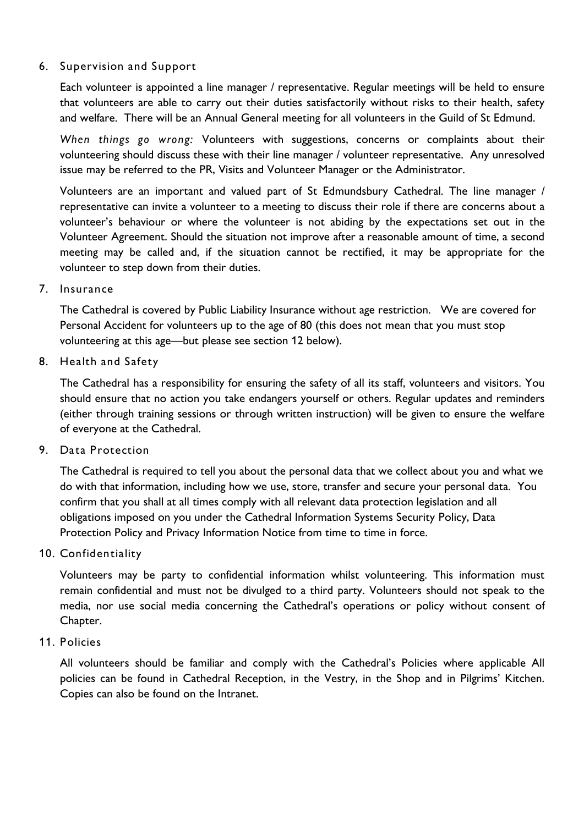## **6. Supervision and Support**

**Each volunteer is appointed a line manager / representative. Regular meetings will be held to ensure that volunteers are able to carry out their duties satisfactorily without risks to their health, safety and welfare. There will be an Annual General meeting for all volunteers in the Guild of St Edmund.** 

*When things go wrong:* **Volunteers with suggestions, concerns or complaints about their volunteering should discuss these with their line manager / volunteer representative. Any unresolved issue may be referred to the PR, Visits and Volunteer Manager or the Administrator.** 

**Volunteers are an important and valued part of St Edmundsbury Cathedral. The line manager / representative can invite a volunteer to a meeting to discuss their role if there are concerns about a volunteer's behaviour or where the volunteer is not abiding by the expectations set out in the Volunteer Agreement. Should the situation not improve after a reasonable amount of time, a second meeting may be called and, if the situation cannot be rectified, it may be appropriate for the volunteer to step down from their duties.**

**7. Insurance**

**The Cathedral is covered by Public Liability Insurance without age restriction. We are covered for Personal Accident for volunteers up to the age of 80 (this does not mean that you must stop volunteering at this age—but please see section 12 below).**

**8. Health and Safety**

**The Cathedral has a responsibility for ensuring the safety of all its staff, volunteers and visitors. You should ensure that no action you take endangers yourself or others. Regular updates and reminders (either through training sessions or through written instruction) will be given to ensure the welfare of everyone at the Cathedral.**

**9. Data Protection**

**The Cathedral is required to tell you about the personal data that we collect about you and what we do with that information, including how we use, store, transfer and secure your personal data. You confirm that you shall at all times comply with all relevant data protection legislation and all obligations imposed on you under the Cathedral Information Systems Security Policy, Data Protection Policy and Privacy Information Notice from time to time in force.**

**10. Confidentiality**

**Volunteers may be party to confidential information whilst volunteering. This information must remain confidential and must not be divulged to a third party. Volunteers should not speak to the media, nor use social media concerning the Cathedral's operations or policy without consent of Chapter.** 

**11. Policies** 

**All volunteers should be familiar and comply with the Cathedral's Policies where applicable All policies can be found in Cathedral Reception, in the Vestry, in the Shop and in Pilgrims' Kitchen. Copies can also be found on the Intranet.**